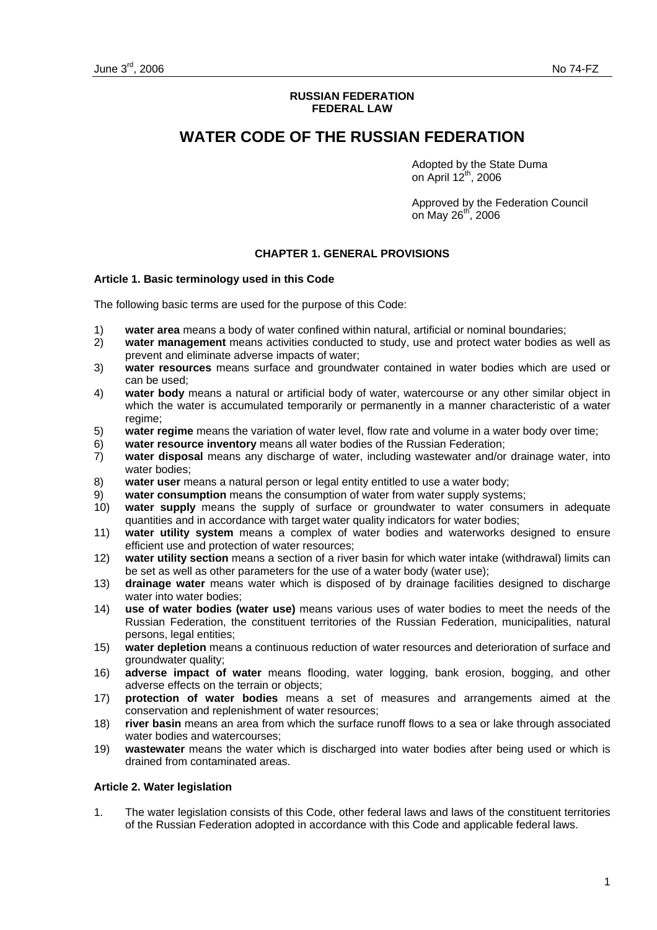#### **RUSSIAN FEDERATION FEDERAL LAW**

# **WATER CODE OF THE RUSSIAN FEDERATION**

Adopted by the State Duma on April  $12^{th}$ , 2006

Approved by the Federation Council on May  $26^{th}$ , 2006

### **CHAPTER 1. GENERAL PROVISIONS**

#### **Article 1. Basic terminology used in this Code**

The following basic terms are used for the purpose of this Code:

- 1) **water area** means a body of water confined within natural, artificial or nominal boundaries;
- 2) **water management** means activities conducted to study, use and protect water bodies as well as prevent and eliminate adverse impacts of water;
- 3) **water resources** means surface and groundwater contained in water bodies which are used or can be used;
- 4) **water body** means a natural or artificial body of water, watercourse or any other similar object in which the water is accumulated temporarily or permanently in a manner characteristic of a water regime;
- 5) **water regime** means the variation of water level, flow rate and volume in a water body over time;
- 6) **water resource inventory** means all water bodies of the Russian Federation;
- 7) **water disposal** means any discharge of water, including wastewater and/or drainage water, into water bodies;
- 8) **water user** means a natural person or legal entity entitled to use a water body;
- 9) **water consumption** means the consumption of water from water supply systems;
- 10) **water supply** means the supply of surface or groundwater to water consumers in adequate quantities and in accordance with target water quality indicators for water bodies;
- 11) **water utility system** means a complex of water bodies and waterworks designed to ensure efficient use and protection of water resources;
- 12) **water utility section** means a section of a river basin for which water intake (withdrawal) limits can be set as well as other parameters for the use of a water body (water use);
- 13) **drainage water** means water which is disposed of by drainage facilities designed to discharge water into water bodies;
- 14) **use of water bodies (water use)** means various uses of water bodies to meet the needs of the Russian Federation, the constituent territories of the Russian Federation, municipalities, natural persons, legal entities;
- 15) **water depletion** means a continuous reduction of water resources and deterioration of surface and groundwater quality;
- 16) **adverse impact of water** means flooding, water logging, bank erosion, bogging, and other adverse effects on the terrain or objects;
- 17) **protection of water bodies** means a set of measures and arrangements aimed at the conservation and replenishment of water resources;
- 18) **river basin** means an area from which the surface runoff flows to a sea or lake through associated water bodies and watercourses;
- 19) **wastewater** means the water which is discharged into water bodies after being used or which is drained from contaminated areas.

#### **Article 2. Water legislation**

1. The water legislation consists of this Code, other federal laws and laws of the constituent territories of the Russian Federation adopted in accordance with this Code and applicable federal laws.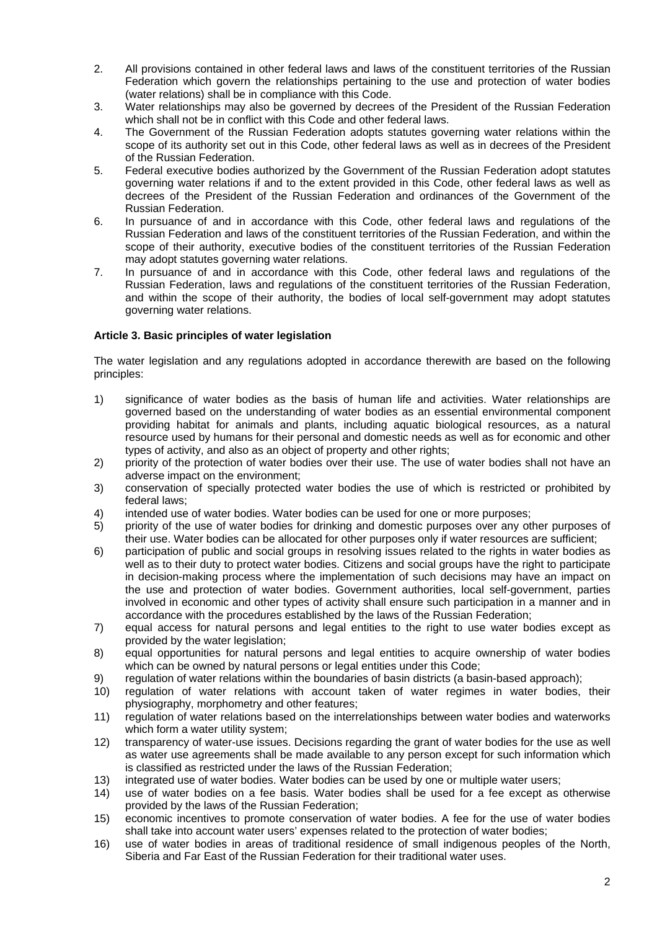- 2. All provisions contained in other federal laws and laws of the constituent territories of the Russian Federation which govern the relationships pertaining to the use and protection of water bodies (water relations) shall be in compliance with this Code.
- 3. Water relationships may also be governed by decrees of the President of the Russian Federation which shall not be in conflict with this Code and other federal laws.
- 4. The Government of the Russian Federation adopts statutes governing water relations within the scope of its authority set out in this Code, other federal laws as well as in decrees of the President of the Russian Federation.
- 5. Federal executive bodies authorized by the Government of the Russian Federation adopt statutes governing water relations if and to the extent provided in this Code, other federal laws as well as decrees of the President of the Russian Federation and ordinances of the Government of the Russian Federation.
- 6. In pursuance of and in accordance with this Code, other federal laws and regulations of the Russian Federation and laws of the constituent territories of the Russian Federation, and within the scope of their authority, executive bodies of the constituent territories of the Russian Federation may adopt statutes governing water relations.
- 7. In pursuance of and in accordance with this Code, other federal laws and regulations of the Russian Federation, laws and regulations of the constituent territories of the Russian Federation, and within the scope of their authority, the bodies of local self-government may adopt statutes governing water relations.

### **Article 3. Basic principles of water legislation**

The water legislation and any regulations adopted in accordance therewith are based on the following principles:

- 1) significance of water bodies as the basis of human life and activities. Water relationships are governed based on the understanding of water bodies as an essential environmental component providing habitat for animals and plants, including aquatic biological resources, as a natural resource used by humans for their personal and domestic needs as well as for economic and other types of activity, and also as an object of property and other rights;
- 2) priority of the protection of water bodies over their use. The use of water bodies shall not have an adverse impact on the environment;
- 3) conservation of specially protected water bodies the use of which is restricted or prohibited by federal laws;
- 4) intended use of water bodies. Water bodies can be used for one or more purposes;
- 5) priority of the use of water bodies for drinking and domestic purposes over any other purposes of their use. Water bodies can be allocated for other purposes only if water resources are sufficient;
- 6) participation of public and social groups in resolving issues related to the rights in water bodies as well as to their duty to protect water bodies. Citizens and social groups have the right to participate in decision-making process where the implementation of such decisions may have an impact on the use and protection of water bodies. Government authorities, local self-government, parties involved in economic and other types of activity shall ensure such participation in a manner and in accordance with the procedures established by the laws of the Russian Federation;
- 7) equal access for natural persons and legal entities to the right to use water bodies except as provided by the water legislation;
- 8) equal opportunities for natural persons and legal entities to acquire ownership of water bodies which can be owned by natural persons or legal entities under this Code;
- 9) regulation of water relations within the boundaries of basin districts (a basin-based approach);
- 10) regulation of water relations with account taken of water regimes in water bodies, their physiography, morphometry and other features;
- 11) regulation of water relations based on the interrelationships between water bodies and waterworks which form a water utility system;
- 12) transparency of water-use issues. Decisions regarding the grant of water bodies for the use as well as water use agreements shall be made available to any person except for such information which is classified as restricted under the laws of the Russian Federation;
- 13) integrated use of water bodies. Water bodies can be used by one or multiple water users;
- 14) use of water bodies on a fee basis. Water bodies shall be used for a fee except as otherwise provided by the laws of the Russian Federation;
- 15) economic incentives to promote conservation of water bodies. A fee for the use of water bodies shall take into account water users' expenses related to the protection of water bodies;
- 16) use of water bodies in areas of traditional residence of small indigenous peoples of the North, Siberia and Far East of the Russian Federation for their traditional water uses.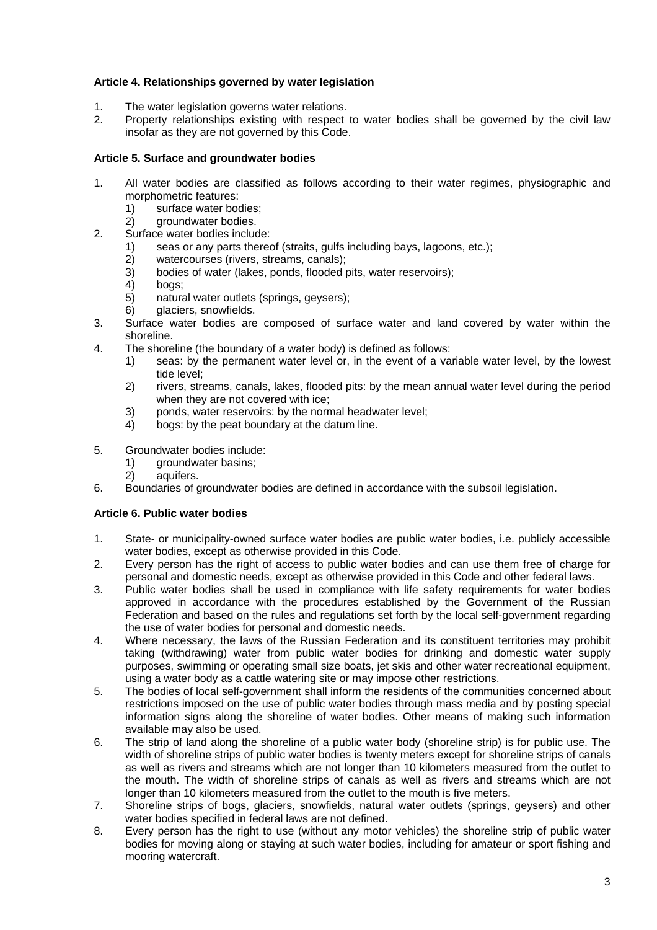### **Article 4. Relationships governed by water legislation**

- 1. The water legislation governs water relations.
- 2. Property relationships existing with respect to water bodies shall be governed by the civil law insofar as they are not governed by this Code.

### **Article 5. Surface and groundwater bodies**

- 1. All water bodies are classified as follows according to their water regimes, physiographic and morphometric features:
	- 1) surface water bodies;
	- 2) groundwater bodies.
- 2. Surface water bodies include:
	- 1) seas or any parts thereof (straits, gulfs including bays, lagoons, etc.);
	- 2) watercourses (rivers, streams, canals);
	- 3) bodies of water (lakes, ponds, flooded pits, water reservoirs);
	- 4) bogs;
	- 5) natural water outlets (springs, geysers);
	- 6) glaciers, snowfields.
- 3. Surface water bodies are composed of surface water and land covered by water within the shoreline.
- 4. The shoreline (the boundary of a water body) is defined as follows:
	- 1) seas: by the permanent water level or, in the event of a variable water level, by the lowest tide level;
	- 2) rivers, streams, canals, lakes, flooded pits: by the mean annual water level during the period when they are not covered with ice;
	- 3) ponds, water reservoirs: by the normal headwater level;
	- 4) bogs: by the peat boundary at the datum line.
- 5. Groundwater bodies include:
	- 1) groundwater basins;
	- 2) aquifers.
- 6. Boundaries of groundwater bodies are defined in accordance with the subsoil legislation.

### **Article 6. Public water bodies**

- 1. State- or municipality-owned surface water bodies are public water bodies, i.e. publicly accessible water bodies, except as otherwise provided in this Code.
- 2. Every person has the right of access to public water bodies and can use them free of charge for personal and domestic needs, except as otherwise provided in this Code and other federal laws.
- 3. Public water bodies shall be used in compliance with life safety requirements for water bodies approved in accordance with the procedures established by the Government of the Russian Federation and based on the rules and regulations set forth by the local self-government regarding the use of water bodies for personal and domestic needs.
- 4. Where necessary, the laws of the Russian Federation and its constituent territories may prohibit taking (withdrawing) water from public water bodies for drinking and domestic water supply purposes, swimming or operating small size boats, jet skis and other water recreational equipment, using a water body as a cattle watering site or may impose other restrictions.
- 5. The bodies of local self-government shall inform the residents of the communities concerned about restrictions imposed on the use of public water bodies through mass media and by posting special information signs along the shoreline of water bodies. Other means of making such information available may also be used.
- 6. The strip of land along the shoreline of a public water body (shoreline strip) is for public use. The width of shoreline strips of public water bodies is twenty meters except for shoreline strips of canals as well as rivers and streams which are not longer than 10 kilometers measured from the outlet to the mouth. The width of shoreline strips of canals as well as rivers and streams which are not longer than 10 kilometers measured from the outlet to the mouth is five meters.
- 7. Shoreline strips of bogs, glaciers, snowfields, natural water outlets (springs, geysers) and other water bodies specified in federal laws are not defined.
- 8. Every person has the right to use (without any motor vehicles) the shoreline strip of public water bodies for moving along or staying at such water bodies, including for amateur or sport fishing and mooring watercraft.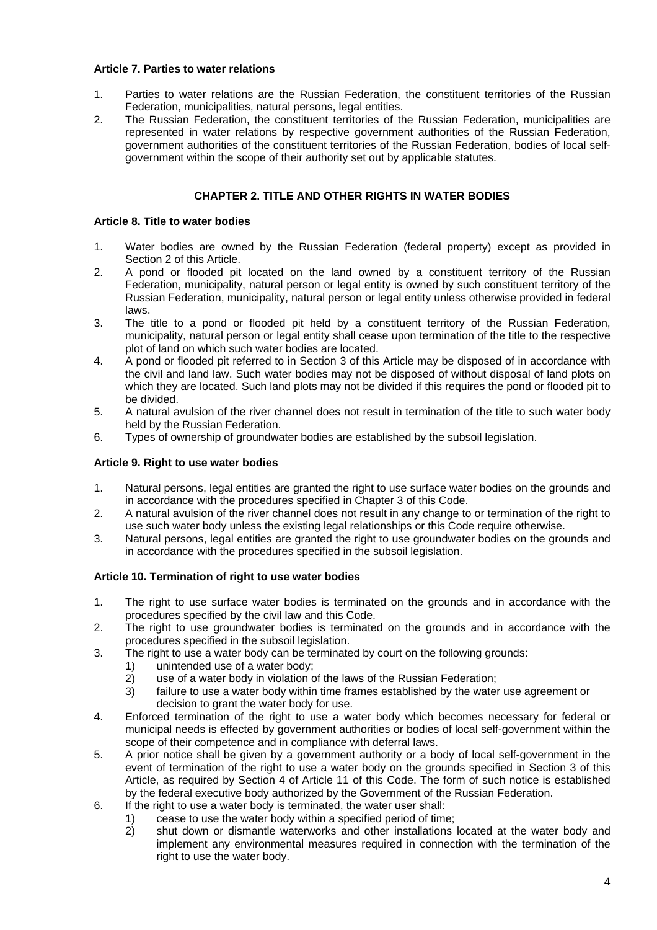#### **Article 7. Parties to water relations**

- 1. Parties to water relations are the Russian Federation, the constituent territories of the Russian Federation, municipalities, natural persons, legal entities.
- 2. The Russian Federation, the constituent territories of the Russian Federation, municipalities are represented in water relations by respective government authorities of the Russian Federation, government authorities of the constituent territories of the Russian Federation, bodies of local selfgovernment within the scope of their authority set out by applicable statutes.

### **CHAPTER 2. TITLE AND OTHER RIGHTS IN WATER BODIES**

#### **Article 8. Title to water bodies**

- 1. Water bodies are owned by the Russian Federation (federal property) except as provided in Section 2 of this Article.
- 2. A pond or flooded pit located on the land owned by a constituent territory of the Russian Federation, municipality, natural person or legal entity is owned by such constituent territory of the Russian Federation, municipality, natural person or legal entity unless otherwise provided in federal laws.
- 3. The title to a pond or flooded pit held by a constituent territory of the Russian Federation, municipality, natural person or legal entity shall cease upon termination of the title to the respective plot of land on which such water bodies are located.
- 4. A pond or flooded pit referred to in Section 3 of this Article may be disposed of in accordance with the civil and land law. Such water bodies may not be disposed of without disposal of land plots on which they are located. Such land plots may not be divided if this requires the pond or flooded pit to be divided.
- 5. A natural avulsion of the river channel does not result in termination of the title to such water body held by the Russian Federation.
- 6. Types of ownership of groundwater bodies are established by the subsoil legislation.

### **Article 9. Right to use water bodies**

- 1. Natural persons, legal entities are granted the right to use surface water bodies on the grounds and in accordance with the procedures specified in Chapter 3 of this Code.
- 2. A natural avulsion of the river channel does not result in any change to or termination of the right to use such water body unless the existing legal relationships or this Code require otherwise.
- 3. Natural persons, legal entities are granted the right to use groundwater bodies on the grounds and in accordance with the procedures specified in the subsoil legislation.

### **Article 10. Termination of right to use water bodies**

- 1. The right to use surface water bodies is terminated on the grounds and in accordance with the procedures specified by the civil law and this Code.
- 2. The right to use groundwater bodies is terminated on the grounds and in accordance with the procedures specified in the subsoil legislation.
- 3. The right to use a water body can be terminated by court on the following grounds:
	- 1) unintended use of a water body;
	- 2) use of a water body in violation of the laws of the Russian Federation;
	- 3) failure to use a water body within time frames established by the water use agreement or decision to grant the water body for use.
- 4. Enforced termination of the right to use a water body which becomes necessary for federal or municipal needs is effected by government authorities or bodies of local self-government within the scope of their competence and in compliance with deferral laws.
- 5. A prior notice shall be given by a government authority or a body of local self-government in the event of termination of the right to use a water body on the grounds specified in Section 3 of this Article, as required by Section 4 of Article 11 of this Code. The form of such notice is established by the federal executive body authorized by the Government of the Russian Federation.
- 6. If the right to use a water body is terminated, the water user shall:
	- 1) cease to use the water body within a specified period of time;
	- 2) shut down or dismantle waterworks and other installations located at the water body and implement any environmental measures required in connection with the termination of the right to use the water body.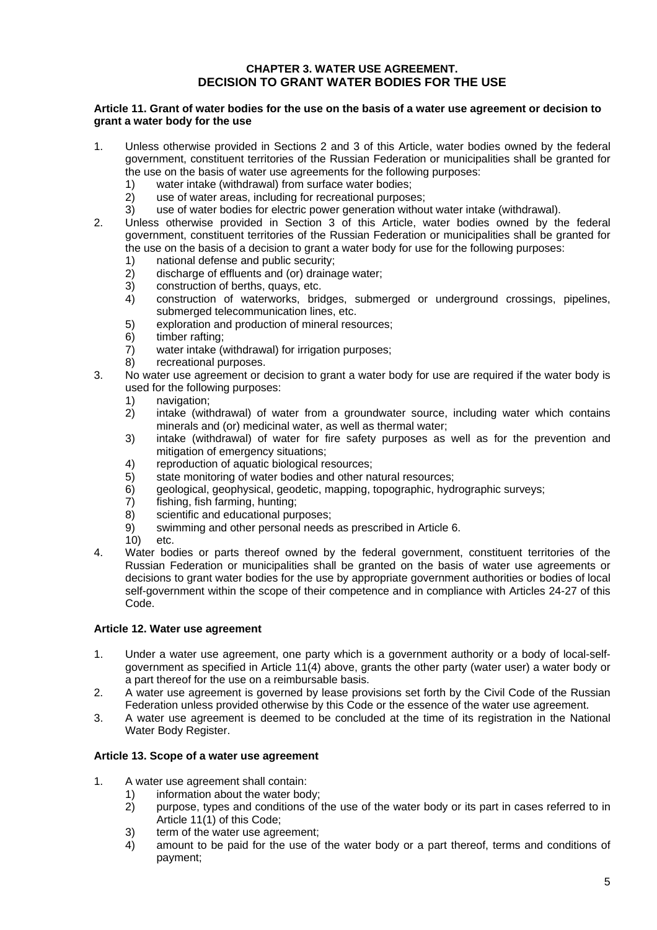### **CHAPTER 3. WATER USE AGREEMENT. DECISION TO GRANT WATER BODIES FOR THE USE**

#### **Article 11. Grant of water bodies for the use on the basis of a water use agreement or decision to grant a water body for the use**

- 1. Unless otherwise provided in Sections 2 and 3 of this Article, water bodies owned by the federal government, constituent territories of the Russian Federation or municipalities shall be granted for the use on the basis of water use agreements for the following purposes:
	- 1) water intake (withdrawal) from surface water bodies;
	- 2) use of water areas, including for recreational purposes;
	- 3) use of water bodies for electric power generation without water intake (withdrawal).
- 2. Unless otherwise provided in Section 3 of this Article, water bodies owned by the federal government, constituent territories of the Russian Federation or municipalities shall be granted for the use on the basis of a decision to grant a water body for use for the following purposes:
	- 1) national defense and public security;
	- 2) discharge of effluents and (or) drainage water;
	- 3) construction of berths, quays, etc.
	- 4) construction of waterworks, bridges, submerged or underground crossings, pipelines, submerged telecommunication lines, etc.
	- 5) exploration and production of mineral resources;
	- 6) timber rafting;
	- 7) water intake (withdrawal) for irrigation purposes;
	- 8) recreational purposes.
- 3. No water use agreement or decision to grant a water body for use are required if the water body is used for the following purposes:
	- 1) navigation;
	- 2) intake (withdrawal) of water from a groundwater source, including water which contains minerals and (or) medicinal water, as well as thermal water;
	- 3) intake (withdrawal) of water for fire safety purposes as well as for the prevention and mitigation of emergency situations;
	- 4) reproduction of aquatic biological resources;
	- 5) state monitoring of water bodies and other natural resources;
	- 6) geological, geophysical, geodetic, mapping, topographic, hydrographic surveys;
	- 7) fishing, fish farming, hunting;
	- 8) scientific and educational purposes;
	- 9) swimming and other personal needs as prescribed in Article 6.
	- 10) etc.
- 4. Water bodies or parts thereof owned by the federal government, constituent territories of the Russian Federation or municipalities shall be granted on the basis of water use agreements or decisions to grant water bodies for the use by appropriate government authorities or bodies of local self-government within the scope of their competence and in compliance with Articles 24-27 of this Code.

### **Article 12. Water use agreement**

- 1. Under a water use agreement, one party which is a government authority or a body of local-selfgovernment as specified in Article 11(4) above, grants the other party (water user) a water body or a part thereof for the use on a reimbursable basis.
- 2. A water use agreement is governed by lease provisions set forth by the Civil Code of the Russian Federation unless provided otherwise by this Code or the essence of the water use agreement.
- 3. A water use agreement is deemed to be concluded at the time of its registration in the National Water Body Register.

### **Article 13. Scope of a water use agreement**

- 1. A water use agreement shall contain:
	- 1) information about the water body;
	- 2) purpose, types and conditions of the use of the water body or its part in cases referred to in Article 11(1) of this Code;
	- 3) term of the water use agreement;
	- 4) amount to be paid for the use of the water body or a part thereof, terms and conditions of payment;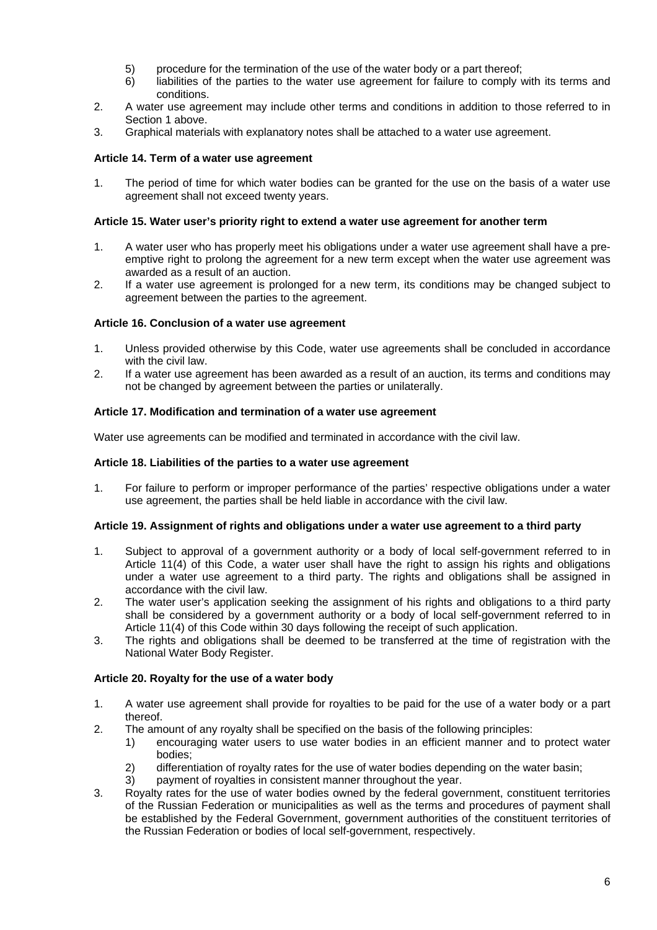- 5) procedure for the termination of the use of the water body or a part thereof;
- 6) liabilities of the parties to the water use agreement for failure to comply with its terms and conditions.
- 2. A water use agreement may include other terms and conditions in addition to those referred to in Section 1 above.
- 3. Graphical materials with explanatory notes shall be attached to a water use agreement.

#### **Article 14. Term of a water use agreement**

1. The period of time for which water bodies can be granted for the use on the basis of a water use agreement shall not exceed twenty years.

#### **Article 15. Water user's priority right to extend a water use agreement for another term**

- 1. A water user who has properly meet his obligations under a water use agreement shall have a preemptive right to prolong the agreement for a new term except when the water use agreement was awarded as a result of an auction.
- 2. If a water use agreement is prolonged for a new term, its conditions may be changed subject to agreement between the parties to the agreement.

#### **Article 16. Conclusion of a water use agreement**

- 1. Unless provided otherwise by this Code, water use agreements shall be concluded in accordance with the civil law.
- 2. If a water use agreement has been awarded as a result of an auction, its terms and conditions may not be changed by agreement between the parties or unilaterally.

#### **Article 17. Modification and termination of a water use agreement**

Water use agreements can be modified and terminated in accordance with the civil law.

#### **Article 18. Liabilities of the parties to a water use agreement**

1. For failure to perform or improper performance of the parties' respective obligations under a water use agreement, the parties shall be held liable in accordance with the civil law.

#### **Article 19. Assignment of rights and obligations under a water use agreement to a third party**

- 1. Subject to approval of a government authority or a body of local self-government referred to in Article 11(4) of this Code, a water user shall have the right to assign his rights and obligations under a water use agreement to a third party. The rights and obligations shall be assigned in accordance with the civil law.
- 2. The water user's application seeking the assignment of his rights and obligations to a third party shall be considered by a government authority or a body of local self-government referred to in Article 11(4) of this Code within 30 days following the receipt of such application.
- 3. The rights and obligations shall be deemed to be transferred at the time of registration with the National Water Body Register.

### **Article 20. Royalty for the use of a water body**

- 1. A water use agreement shall provide for royalties to be paid for the use of a water body or a part thereof.
- 2. The amount of any royalty shall be specified on the basis of the following principles:
	- 1) encouraging water users to use water bodies in an efficient manner and to protect water bodies;
	- 2) differentiation of royalty rates for the use of water bodies depending on the water basin;
	- 3) payment of royalties in consistent manner throughout the year.
- 3. Royalty rates for the use of water bodies owned by the federal government, constituent territories of the Russian Federation or municipalities as well as the terms and procedures of payment shall be established by the Federal Government, government authorities of the constituent territories of the Russian Federation or bodies of local self-government, respectively.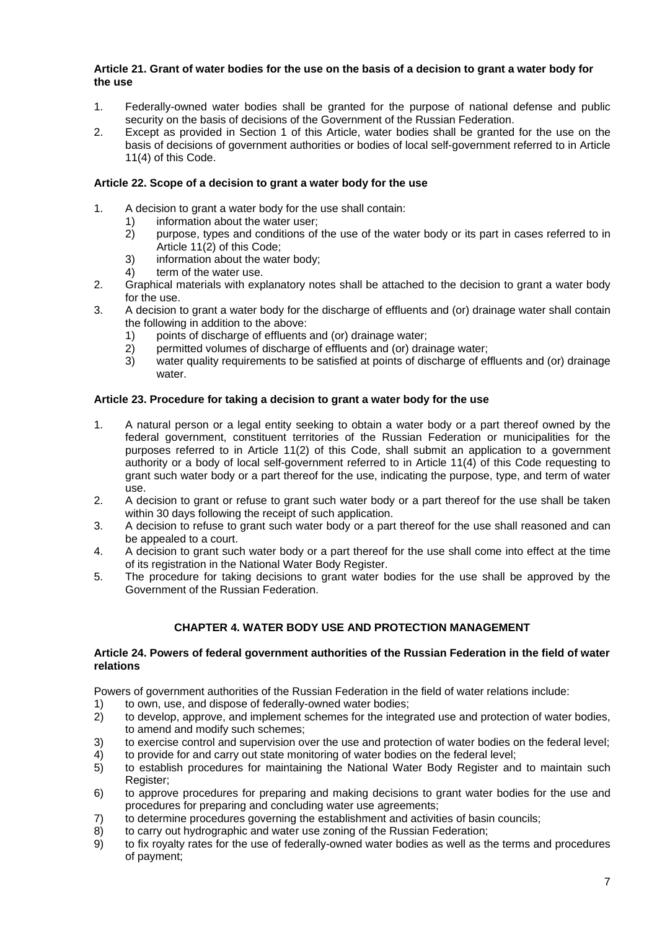#### **Article 21. Grant of water bodies for the use on the basis of a decision to grant a water body for the use**

- 1. Federally-owned water bodies shall be granted for the purpose of national defense and public security on the basis of decisions of the Government of the Russian Federation.
- 2. Except as provided in Section 1 of this Article, water bodies shall be granted for the use on the basis of decisions of government authorities or bodies of local self-government referred to in Article 11(4) of this Code.

### **Article 22. Scope of a decision to grant a water body for the use**

- 1. A decision to grant a water body for the use shall contain:
	- 1) information about the water user;
	- 2) purpose, types and conditions of the use of the water body or its part in cases referred to in Article 11(2) of this Code;
	- 3) information about the water body;
	- 4) term of the water use.
- 2. Graphical materials with explanatory notes shall be attached to the decision to grant a water body for the use.
- 3. A decision to grant a water body for the discharge of effluents and (or) drainage water shall contain the following in addition to the above:
	- 1) points of discharge of effluents and (or) drainage water;
	- 2) permitted volumes of discharge of effluents and (or) drainage water;
	- 3) water quality requirements to be satisfied at points of discharge of effluents and (or) drainage water

### **Article 23. Procedure for taking a decision to grant a water body for the use**

- 1. A natural person or a legal entity seeking to obtain a water body or a part thereof owned by the federal government, constituent territories of the Russian Federation or municipalities for the purposes referred to in Article 11(2) of this Code, shall submit an application to a government authority or a body of local self-government referred to in Article 11(4) of this Code requesting to grant such water body or a part thereof for the use, indicating the purpose, type, and term of water use.
- 2. A decision to grant or refuse to grant such water body or a part thereof for the use shall be taken within 30 days following the receipt of such application.
- 3. A decision to refuse to grant such water body or a part thereof for the use shall reasoned and can be appealed to a court.
- 4. A decision to grant such water body or a part thereof for the use shall come into effect at the time of its registration in the National Water Body Register.
- 5. The procedure for taking decisions to grant water bodies for the use shall be approved by the Government of the Russian Federation.

# **CHAPTER 4. WATER BODY USE AND PROTECTION MANAGEMENT**

#### **Article 24. Powers of federal government authorities of the Russian Federation in the field of water relations**

Powers of government authorities of the Russian Federation in the field of water relations include:

- 1) to own, use, and dispose of federally-owned water bodies;
- 2) to develop, approve, and implement schemes for the integrated use and protection of water bodies, to amend and modify such schemes;
- 3) to exercise control and supervision over the use and protection of water bodies on the federal level;
- 4) to provide for and carry out state monitoring of water bodies on the federal level;<br>5) to establish procedures for maintaining the National Water Body Register and
- to establish procedures for maintaining the National Water Body Register and to maintain such Register:
- 6) to approve procedures for preparing and making decisions to grant water bodies for the use and procedures for preparing and concluding water use agreements;
- 7) to determine procedures governing the establishment and activities of basin councils;
- 8) to carry out hydrographic and water use zoning of the Russian Federation;
- 9) to fix royalty rates for the use of federally-owned water bodies as well as the terms and procedures of payment;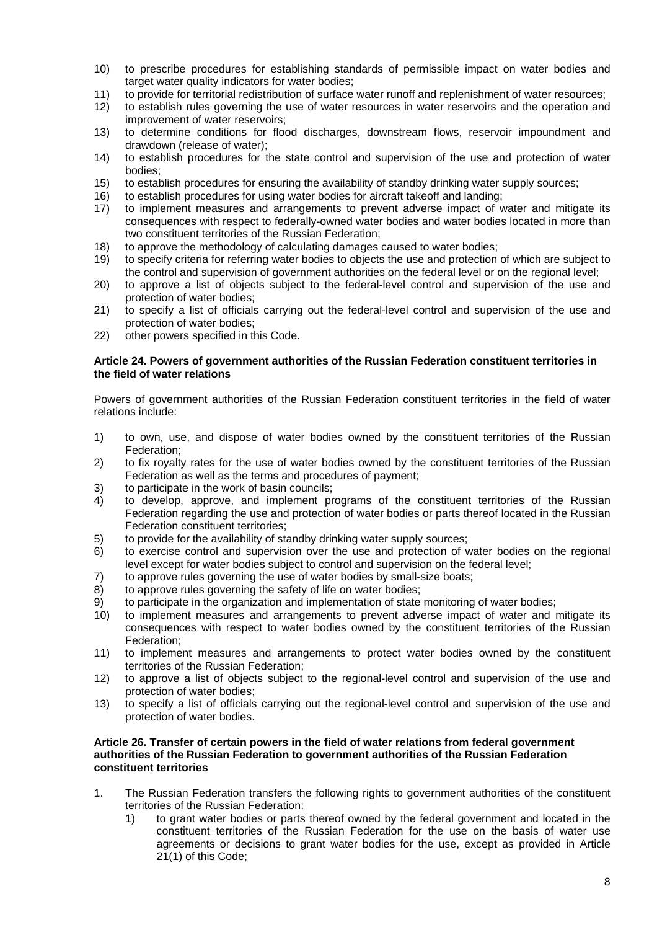- 10) to prescribe procedures for establishing standards of permissible impact on water bodies and target water quality indicators for water bodies:
- 11) to provide for territorial redistribution of surface water runoff and replenishment of water resources;
- 12) to establish rules governing the use of water resources in water reservoirs and the operation and improvement of water reservoirs;
- 13) to determine conditions for flood discharges, downstream flows, reservoir impoundment and drawdown (release of water);
- 14) to establish procedures for the state control and supervision of the use and protection of water bodies;
- 15) to establish procedures for ensuring the availability of standby drinking water supply sources;
- 16) to establish procedures for using water bodies for aircraft takeoff and landing;
- 17) to implement measures and arrangements to prevent adverse impact of water and mitigate its consequences with respect to federally-owned water bodies and water bodies located in more than two constituent territories of the Russian Federation;
- 18) to approve the methodology of calculating damages caused to water bodies;
- 19) to specify criteria for referring water bodies to objects the use and protection of which are subject to the control and supervision of government authorities on the federal level or on the regional level;
- 20) to approve a list of objects subject to the federal-level control and supervision of the use and protection of water bodies;
- 21) to specify a list of officials carrying out the federal-level control and supervision of the use and protection of water bodies;
- 22) other powers specified in this Code.

#### **Article 24. Powers of government authorities of the Russian Federation constituent territories in the field of water relations**

Powers of government authorities of the Russian Federation constituent territories in the field of water relations include:

- 1) to own, use, and dispose of water bodies owned by the constituent territories of the Russian Federation;
- 2) to fix royalty rates for the use of water bodies owned by the constituent territories of the Russian Federation as well as the terms and procedures of payment;
- 3) to participate in the work of basin councils;
- 4) to develop, approve, and implement programs of the constituent territories of the Russian Federation regarding the use and protection of water bodies or parts thereof located in the Russian Federation constituent territories;
- 5) to provide for the availability of standby drinking water supply sources;
- 6) to exercise control and supervision over the use and protection of water bodies on the regional level except for water bodies subject to control and supervision on the federal level;
- 7) to approve rules governing the use of water bodies by small-size boats;
- 8) to approve rules governing the safety of life on water bodies;
- 9) to participate in the organization and implementation of state monitoring of water bodies;
- 10) to implement measures and arrangements to prevent adverse impact of water and mitigate its consequences with respect to water bodies owned by the constituent territories of the Russian Federation;
- 11) to implement measures and arrangements to protect water bodies owned by the constituent territories of the Russian Federation;
- 12) to approve a list of objects subject to the regional-level control and supervision of the use and protection of water bodies;
- 13) to specify a list of officials carrying out the regional-level control and supervision of the use and protection of water bodies.

#### **Article 26. Transfer of certain powers in the field of water relations from federal government authorities of the Russian Federation to government authorities of the Russian Federation constituent territories**

- 1. The Russian Federation transfers the following rights to government authorities of the constituent territories of the Russian Federation:
	- 1) to grant water bodies or parts thereof owned by the federal government and located in the constituent territories of the Russian Federation for the use on the basis of water use agreements or decisions to grant water bodies for the use, except as provided in Article 21(1) of this Code;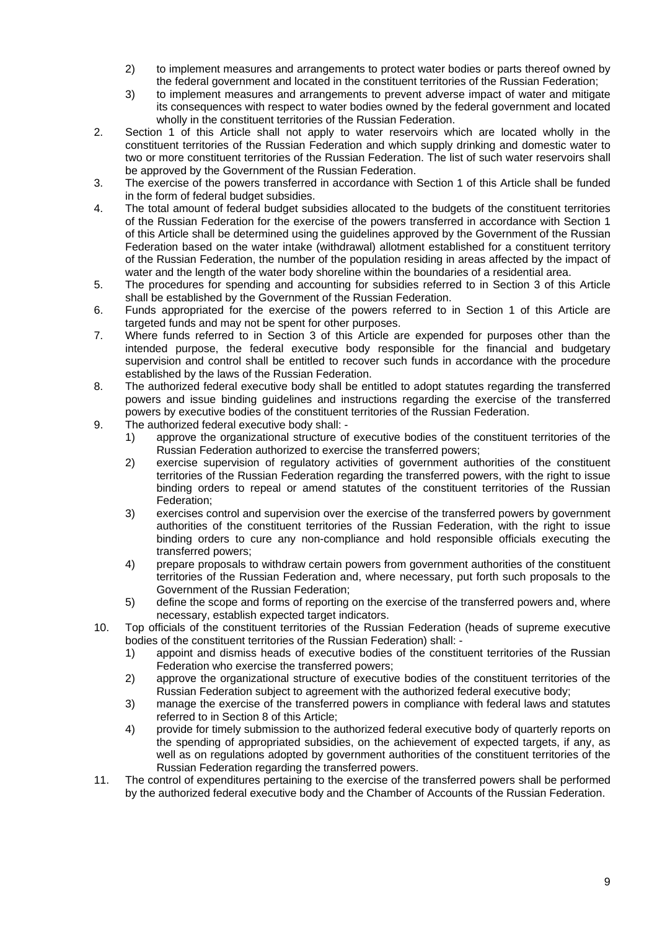- 2) to implement measures and arrangements to protect water bodies or parts thereof owned by the federal government and located in the constituent territories of the Russian Federation;
- 3) to implement measures and arrangements to prevent adverse impact of water and mitigate its consequences with respect to water bodies owned by the federal government and located wholly in the constituent territories of the Russian Federation.
- 2. Section 1 of this Article shall not apply to water reservoirs which are located wholly in the constituent territories of the Russian Federation and which supply drinking and domestic water to two or more constituent territories of the Russian Federation. The list of such water reservoirs shall be approved by the Government of the Russian Federation.
- 3. The exercise of the powers transferred in accordance with Section 1 of this Article shall be funded in the form of federal budget subsidies.
- 4. The total amount of federal budget subsidies allocated to the budgets of the constituent territories of the Russian Federation for the exercise of the powers transferred in accordance with Section 1 of this Article shall be determined using the guidelines approved by the Government of the Russian Federation based on the water intake (withdrawal) allotment established for a constituent territory of the Russian Federation, the number of the population residing in areas affected by the impact of water and the length of the water body shoreline within the boundaries of a residential area.
- 5. The procedures for spending and accounting for subsidies referred to in Section 3 of this Article shall be established by the Government of the Russian Federation.
- 6. Funds appropriated for the exercise of the powers referred to in Section 1 of this Article are targeted funds and may not be spent for other purposes.
- 7. Where funds referred to in Section 3 of this Article are expended for purposes other than the intended purpose, the federal executive body responsible for the financial and budgetary supervision and control shall be entitled to recover such funds in accordance with the procedure established by the laws of the Russian Federation.
- 8. The authorized federal executive body shall be entitled to adopt statutes regarding the transferred powers and issue binding guidelines and instructions regarding the exercise of the transferred powers by executive bodies of the constituent territories of the Russian Federation.
- 9. The authorized federal executive body shall:
	- 1) approve the organizational structure of executive bodies of the constituent territories of the Russian Federation authorized to exercise the transferred powers;
	- 2) exercise supervision of regulatory activities of government authorities of the constituent territories of the Russian Federation regarding the transferred powers, with the right to issue binding orders to repeal or amend statutes of the constituent territories of the Russian Federation;
	- 3) exercises control and supervision over the exercise of the transferred powers by government authorities of the constituent territories of the Russian Federation, with the right to issue binding orders to cure any non-compliance and hold responsible officials executing the transferred powers;
	- 4) prepare proposals to withdraw certain powers from government authorities of the constituent territories of the Russian Federation and, where necessary, put forth such proposals to the Government of the Russian Federation;
	- 5) define the scope and forms of reporting on the exercise of the transferred powers and, where necessary, establish expected target indicators.
- 10. Top officials of the constituent territories of the Russian Federation (heads of supreme executive bodies of the constituent territories of the Russian Federation) shall: -
	- 1) appoint and dismiss heads of executive bodies of the constituent territories of the Russian Federation who exercise the transferred powers;
	- 2) approve the organizational structure of executive bodies of the constituent territories of the Russian Federation subject to agreement with the authorized federal executive body;
	- 3) manage the exercise of the transferred powers in compliance with federal laws and statutes referred to in Section 8 of this Article;
	- 4) provide for timely submission to the authorized federal executive body of quarterly reports on the spending of appropriated subsidies, on the achievement of expected targets, if any, as well as on regulations adopted by government authorities of the constituent territories of the Russian Federation regarding the transferred powers.
- 11. The control of expenditures pertaining to the exercise of the transferred powers shall be performed by the authorized federal executive body and the Chamber of Accounts of the Russian Federation.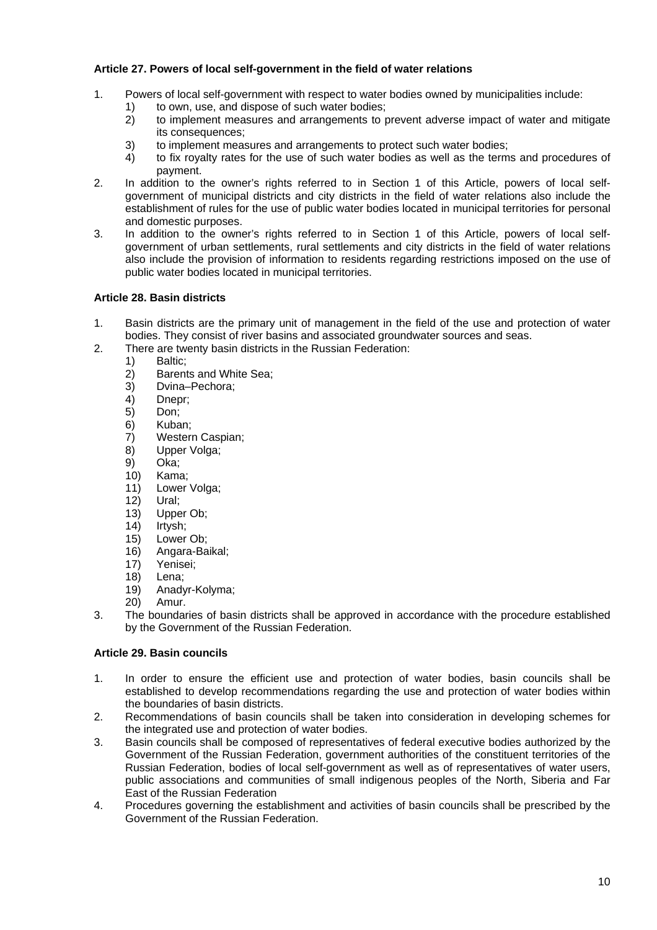### **Article 27. Powers of local self-government in the field of water relations**

- 1. Powers of local self-government with respect to water bodies owned by municipalities include:
	- 1) to own, use, and dispose of such water bodies;
		- 2) to implement measures and arrangements to prevent adverse impact of water and mitigate its consequences;
		- 3) to implement measures and arrangements to protect such water bodies;
	- 4) to fix royalty rates for the use of such water bodies as well as the terms and procedures of payment.
- 2. In addition to the owner's rights referred to in Section 1 of this Article, powers of local selfgovernment of municipal districts and city districts in the field of water relations also include the establishment of rules for the use of public water bodies located in municipal territories for personal and domestic purposes.
- 3. In addition to the owner's rights referred to in Section 1 of this Article, powers of local selfgovernment of urban settlements, rural settlements and city districts in the field of water relations also include the provision of information to residents regarding restrictions imposed on the use of public water bodies located in municipal territories.

# **Article 28. Basin districts**

- 1. Basin districts are the primary unit of management in the field of the use and protection of water bodies. They consist of river basins and associated groundwater sources and seas.
- 2. There are twenty basin districts in the Russian Federation:
	- 1) Baltic;
	- 2) Barents and White Sea;<br>3) Dvina–Pechora:
	- Dvina–Pechora:
	- 4) Dnepr;
	- 5) Don;
	- 6) Kuban;
	- 7) Western Caspian;
	- 8) Upper Volga;
	- 9) Oka;
	- 10) Kama;
	- 11) Lower Volga;
	- 12) Ural;
	- 13) Upper Ob;
	- 14) Irtysh;
	- 15) Lower Ob;
	- 16) Angara-Baikal;
	- 17) Yenisei;
	- 18) Lena;
	- 19) Anadyr-Kolyma;
	- 20) Amur.
- 3. The boundaries of basin districts shall be approved in accordance with the procedure established by the Government of the Russian Federation.

# **Article 29. Basin councils**

- 1. In order to ensure the efficient use and protection of water bodies, basin councils shall be established to develop recommendations regarding the use and protection of water bodies within the boundaries of basin districts.
- 2. Recommendations of basin councils shall be taken into consideration in developing schemes for the integrated use and protection of water bodies.
- 3. Basin councils shall be composed of representatives of federal executive bodies authorized by the Government of the Russian Federation, government authorities of the constituent territories of the Russian Federation, bodies of local self-government as well as of representatives of water users, public associations and communities of small indigenous peoples of the North, Siberia and Far East of the Russian Federation
- 4. Procedures governing the establishment and activities of basin councils shall be prescribed by the Government of the Russian Federation.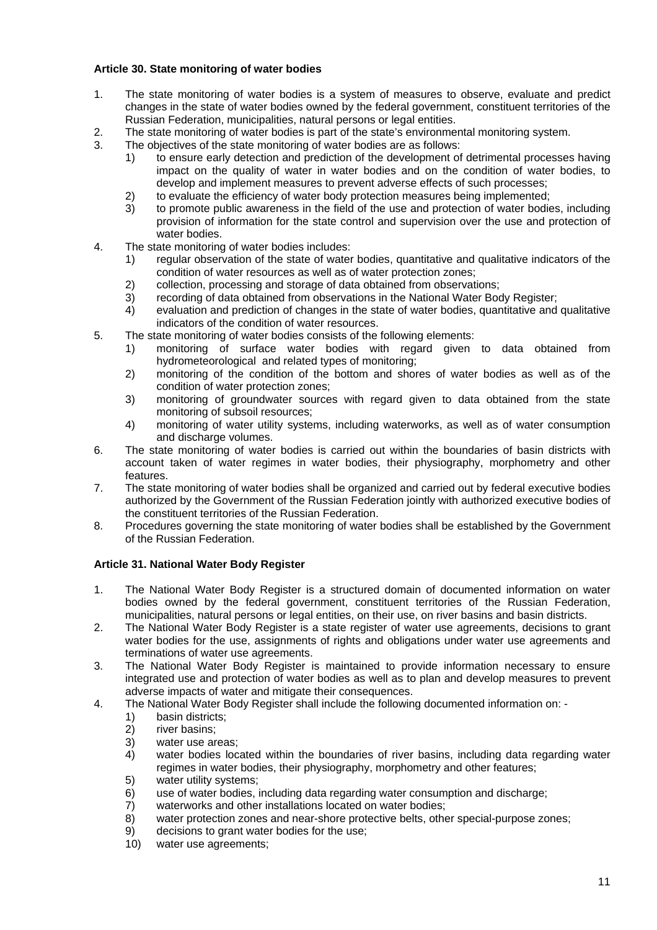### **Article 30. State monitoring of water bodies**

- 1. The state monitoring of water bodies is a system of measures to observe, evaluate and predict changes in the state of water bodies owned by the federal government, constituent territories of the Russian Federation, municipalities, natural persons or legal entities.
- 2. The state monitoring of water bodies is part of the state's environmental monitoring system.
- 3. The objectives of the state monitoring of water bodies are as follows:
	- 1) to ensure early detection and prediction of the development of detrimental processes having impact on the quality of water in water bodies and on the condition of water bodies, to develop and implement measures to prevent adverse effects of such processes;
	- 2) to evaluate the efficiency of water body protection measures being implemented;
	- 3) to promote public awareness in the field of the use and protection of water bodies, including provision of information for the state control and supervision over the use and protection of water bodies.
- 4. The state monitoring of water bodies includes:
	- 1) regular observation of the state of water bodies, quantitative and qualitative indicators of the condition of water resources as well as of water protection zones;
	- 2) collection, processing and storage of data obtained from observations;
	- 3) recording of data obtained from observations in the National Water Body Register;
	- 4) evaluation and prediction of changes in the state of water bodies, quantitative and qualitative indicators of the condition of water resources.
- 5. The state monitoring of water bodies consists of the following elements:
	- 1) monitoring of surface water bodies with regard given to data obtained from hydrometeorological and related types of monitoring;
	- 2) monitoring of the condition of the bottom and shores of water bodies as well as of the condition of water protection zones;
	- 3) monitoring of groundwater sources with regard given to data obtained from the state monitoring of subsoil resources;
	- 4) monitoring of water utility systems, including waterworks, as well as of water consumption and discharge volumes.
- 6. The state monitoring of water bodies is carried out within the boundaries of basin districts with account taken of water regimes in water bodies, their physiography, morphometry and other features.
- 7. The state monitoring of water bodies shall be organized and carried out by federal executive bodies authorized by the Government of the Russian Federation jointly with authorized executive bodies of the constituent territories of the Russian Federation.
- 8. Procedures governing the state monitoring of water bodies shall be established by the Government of the Russian Federation.

### **Article 31. National Water Body Register**

- 1. The National Water Body Register is a structured domain of documented information on water bodies owned by the federal government, constituent territories of the Russian Federation, municipalities, natural persons or legal entities, on their use, on river basins and basin districts.
- 2. The National Water Body Register is a state register of water use agreements, decisions to grant water bodies for the use, assignments of rights and obligations under water use agreements and terminations of water use agreements.
- 3. The National Water Body Register is maintained to provide information necessary to ensure integrated use and protection of water bodies as well as to plan and develop measures to prevent adverse impacts of water and mitigate their consequences.
- 4. The National Water Body Register shall include the following documented information on:
	- 1) basin districts;
	- 2) river basins;
	- 3) water use areas;
	- 4) water bodies located within the boundaries of river basins, including data regarding water regimes in water bodies, their physiography, morphometry and other features;
	- 5) water utility systems;
	- 6) use of water bodies, including data regarding water consumption and discharge;
	- 7) waterworks and other installations located on water bodies;
	- 8) water protection zones and near-shore protective belts, other special-purpose zones;
	- 9) decisions to grant water bodies for the use;
	- 10) water use agreements;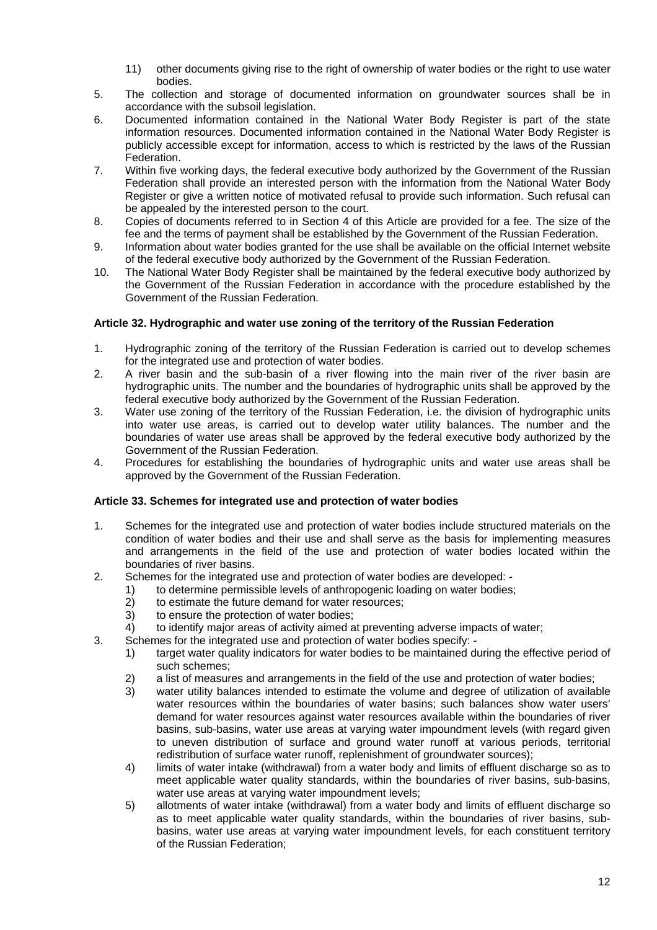- 11) other documents giving rise to the right of ownership of water bodies or the right to use water bodies.
- 5. The collection and storage of documented information on groundwater sources shall be in accordance with the subsoil legislation.
- 6. Documented information contained in the National Water Body Register is part of the state information resources. Documented information contained in the National Water Body Register is publicly accessible except for information, access to which is restricted by the laws of the Russian Federation.
- 7. Within five working days, the federal executive body authorized by the Government of the Russian Federation shall provide an interested person with the information from the National Water Body Register or give a written notice of motivated refusal to provide such information. Such refusal can be appealed by the interested person to the court.
- 8. Copies of documents referred to in Section 4 of this Article are provided for a fee. The size of the fee and the terms of payment shall be established by the Government of the Russian Federation.
- 9. Information about water bodies granted for the use shall be available on the official Internet website of the federal executive body authorized by the Government of the Russian Federation.
- 10. The National Water Body Register shall be maintained by the federal executive body authorized by the Government of the Russian Federation in accordance with the procedure established by the Government of the Russian Federation.

### **Article 32. Hydrographic and water use zoning of the territory of the Russian Federation**

- 1. Hydrographic zoning of the territory of the Russian Federation is carried out to develop schemes for the integrated use and protection of water bodies.
- 2. A river basin and the sub-basin of a river flowing into the main river of the river basin are hydrographic units. The number and the boundaries of hydrographic units shall be approved by the federal executive body authorized by the Government of the Russian Federation.
- 3. Water use zoning of the territory of the Russian Federation, i.e. the division of hydrographic units into water use areas, is carried out to develop water utility balances. The number and the boundaries of water use areas shall be approved by the federal executive body authorized by the Government of the Russian Federation.
- 4. Procedures for establishing the boundaries of hydrographic units and water use areas shall be approved by the Government of the Russian Federation.

### **Article 33. Schemes for integrated use and protection of water bodies**

- 1. Schemes for the integrated use and protection of water bodies include structured materials on the condition of water bodies and their use and shall serve as the basis for implementing measures and arrangements in the field of the use and protection of water bodies located within the boundaries of river basins.
- 2. Schemes for the integrated use and protection of water bodies are developed:
	- 1) to determine permissible levels of anthropogenic loading on water bodies;<br>2) to estimate the future demand for water resources:
	- $2)$  to estimate the future demand for water resources;<br>3) to ensure the protection of water bodies:
	- to ensure the protection of water bodies:
	- 4) to identify major areas of activity aimed at preventing adverse impacts of water;
- 3. Schemes for the integrated use and protection of water bodies specify:
	- 1) target water quality indicators for water bodies to be maintained during the effective period of such schemes;
	- 2) a list of measures and arrangements in the field of the use and protection of water bodies;
	- 3) water utility balances intended to estimate the volume and degree of utilization of available water resources within the boundaries of water basins; such balances show water users' demand for water resources against water resources available within the boundaries of river basins, sub-basins, water use areas at varying water impoundment levels (with regard given to uneven distribution of surface and ground water runoff at various periods, territorial redistribution of surface water runoff, replenishment of groundwater sources);
	- 4) limits of water intake (withdrawal) from a water body and limits of effluent discharge so as to meet applicable water quality standards, within the boundaries of river basins, sub-basins, water use areas at varying water impoundment levels;
	- 5) allotments of water intake (withdrawal) from a water body and limits of effluent discharge so as to meet applicable water quality standards, within the boundaries of river basins, subbasins, water use areas at varying water impoundment levels, for each constituent territory of the Russian Federation;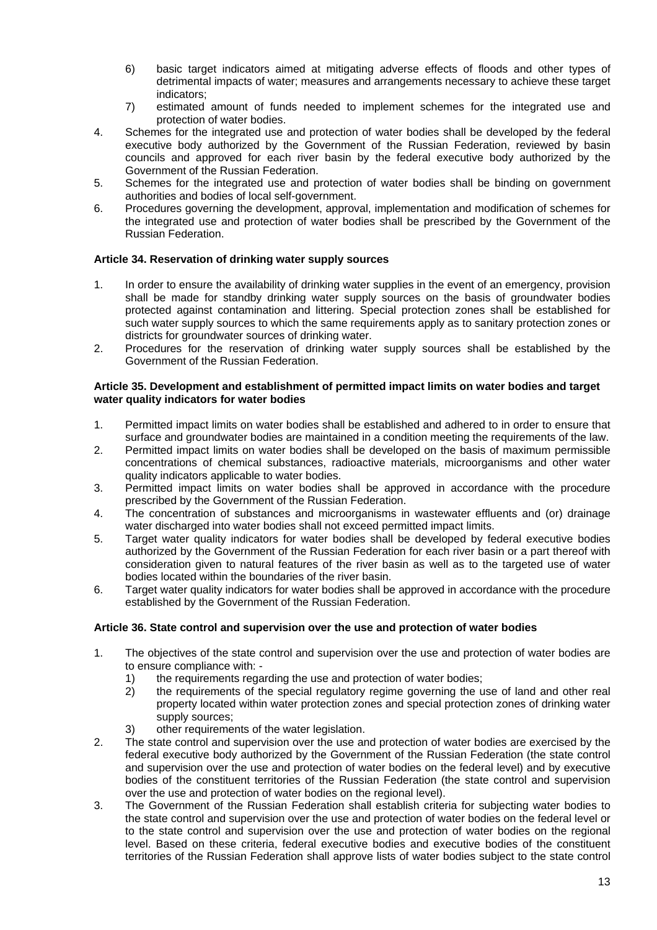- 6) basic target indicators aimed at mitigating adverse effects of floods and other types of detrimental impacts of water; measures and arrangements necessary to achieve these target indicators;
- 7) estimated amount of funds needed to implement schemes for the integrated use and protection of water bodies.
- 4. Schemes for the integrated use and protection of water bodies shall be developed by the federal executive body authorized by the Government of the Russian Federation, reviewed by basin councils and approved for each river basin by the federal executive body authorized by the Government of the Russian Federation.
- 5. Schemes for the integrated use and protection of water bodies shall be binding on government authorities and bodies of local self-government.
- 6. Procedures governing the development, approval, implementation and modification of schemes for the integrated use and protection of water bodies shall be prescribed by the Government of the Russian Federation.

### **Article 34. Reservation of drinking water supply sources**

- 1. In order to ensure the availability of drinking water supplies in the event of an emergency, provision shall be made for standby drinking water supply sources on the basis of groundwater bodies protected against contamination and littering. Special protection zones shall be established for such water supply sources to which the same requirements apply as to sanitary protection zones or districts for groundwater sources of drinking water.
- 2. Procedures for the reservation of drinking water supply sources shall be established by the Government of the Russian Federation.

#### **Article 35. Development and establishment of permitted impact limits on water bodies and target water quality indicators for water bodies**

- 1. Permitted impact limits on water bodies shall be established and adhered to in order to ensure that surface and groundwater bodies are maintained in a condition meeting the requirements of the law.
- 2. Permitted impact limits on water bodies shall be developed on the basis of maximum permissible concentrations of chemical substances, radioactive materials, microorganisms and other water quality indicators applicable to water bodies.
- 3. Permitted impact limits on water bodies shall be approved in accordance with the procedure prescribed by the Government of the Russian Federation.
- 4. The concentration of substances and microorganisms in wastewater effluents and (or) drainage water discharged into water bodies shall not exceed permitted impact limits.
- 5. Target water quality indicators for water bodies shall be developed by federal executive bodies authorized by the Government of the Russian Federation for each river basin or a part thereof with consideration given to natural features of the river basin as well as to the targeted use of water bodies located within the boundaries of the river basin.
- 6. Target water quality indicators for water bodies shall be approved in accordance with the procedure established by the Government of the Russian Federation.

### **Article 36. State control and supervision over the use and protection of water bodies**

- 1. The objectives of the state control and supervision over the use and protection of water bodies are to ensure compliance with: -
	- 1) the requirements regarding the use and protection of water bodies;
	- 2) the requirements of the special regulatory regime governing the use of land and other real property located within water protection zones and special protection zones of drinking water supply sources;
	- 3) other requirements of the water legislation.
- 2. The state control and supervision over the use and protection of water bodies are exercised by the federal executive body authorized by the Government of the Russian Federation (the state control and supervision over the use and protection of water bodies on the federal level) and by executive bodies of the constituent territories of the Russian Federation (the state control and supervision over the use and protection of water bodies on the regional level).
- 3. The Government of the Russian Federation shall establish criteria for subjecting water bodies to the state control and supervision over the use and protection of water bodies on the federal level or to the state control and supervision over the use and protection of water bodies on the regional level. Based on these criteria, federal executive bodies and executive bodies of the constituent territories of the Russian Federation shall approve lists of water bodies subject to the state control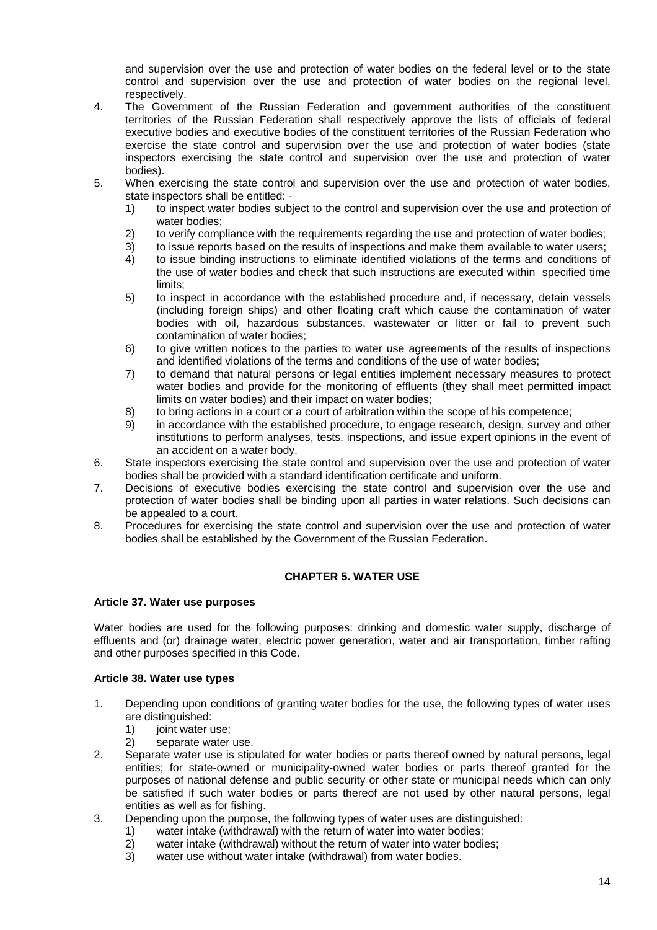and supervision over the use and protection of water bodies on the federal level or to the state control and supervision over the use and protection of water bodies on the regional level, respectively.

- 4. The Government of the Russian Federation and government authorities of the constituent territories of the Russian Federation shall respectively approve the lists of officials of federal executive bodies and executive bodies of the constituent territories of the Russian Federation who exercise the state control and supervision over the use and protection of water bodies (state inspectors exercising the state control and supervision over the use and protection of water bodies).
- 5. When exercising the state control and supervision over the use and protection of water bodies, state inspectors shall be entitled: -
	- 1) to inspect water bodies subject to the control and supervision over the use and protection of water bodies;
	- 2) to verify compliance with the requirements regarding the use and protection of water bodies;
	- 3) to issue reports based on the results of inspections and make them available to water users;
	- 4) to issue binding instructions to eliminate identified violations of the terms and conditions of the use of water bodies and check that such instructions are executed within specified time limits;
	- 5) to inspect in accordance with the established procedure and, if necessary, detain vessels (including foreign ships) and other floating craft which cause the contamination of water bodies with oil, hazardous substances, wastewater or litter or fail to prevent such contamination of water bodies;
	- 6) to give written notices to the parties to water use agreements of the results of inspections and identified violations of the terms and conditions of the use of water bodies;
	- 7) to demand that natural persons or legal entities implement necessary measures to protect water bodies and provide for the monitoring of effluents (they shall meet permitted impact limits on water bodies) and their impact on water bodies;
	- 8) to bring actions in a court or a court of arbitration within the scope of his competence;
	- 9) in accordance with the established procedure, to engage research, design, survey and other institutions to perform analyses, tests, inspections, and issue expert opinions in the event of an accident on a water body.
- 6. State inspectors exercising the state control and supervision over the use and protection of water bodies shall be provided with a standard identification certificate and uniform.
- 7. Decisions of executive bodies exercising the state control and supervision over the use and protection of water bodies shall be binding upon all parties in water relations. Such decisions can be appealed to a court.
- 8. Procedures for exercising the state control and supervision over the use and protection of water bodies shall be established by the Government of the Russian Federation.

### **CHAPTER 5. WATER USE**

#### **Article 37. Water use purposes**

Water bodies are used for the following purposes: drinking and domestic water supply, discharge of effluents and (or) drainage water, electric power generation, water and air transportation, timber rafting and other purposes specified in this Code.

#### **Article 38. Water use types**

- 1. Depending upon conditions of granting water bodies for the use, the following types of water uses are distinguished:
	- 1) ioint water use:
	- 2) separate water use.
- 2. Separate water use is stipulated for water bodies or parts thereof owned by natural persons, legal entities; for state-owned or municipality-owned water bodies or parts thereof granted for the purposes of national defense and public security or other state or municipal needs which can only be satisfied if such water bodies or parts thereof are not used by other natural persons, legal entities as well as for fishing.
- 3. Depending upon the purpose, the following types of water uses are distinguished:
	- 1) water intake (withdrawal) with the return of water into water bodies;
	- 2) water intake (withdrawal) without the return of water into water bodies;
	- 3) water use without water intake (withdrawal) from water bodies.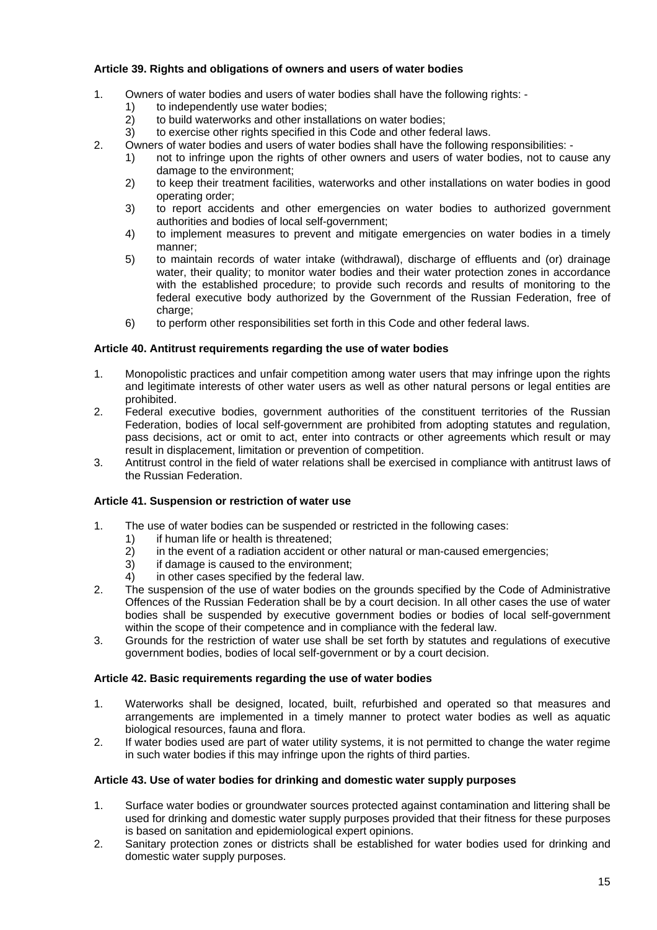### **Article 39. Rights and obligations of owners and users of water bodies**

- 1. Owners of water bodies and users of water bodies shall have the following rights:
	- 1) to independently use water bodies;<br>2) to build waterworks and other instal
	- to build waterworks and other installations on water bodies;
	- 3) to exercise other rights specified in this Code and other federal laws.
- 2. Owners of water bodies and users of water bodies shall have the following responsibilities:
	- 1) not to infringe upon the rights of other owners and users of water bodies, not to cause any damage to the environment;
	- 2) to keep their treatment facilities, waterworks and other installations on water bodies in good operating order;
	- 3) to report accidents and other emergencies on water bodies to authorized government authorities and bodies of local self-government;
	- 4) to implement measures to prevent and mitigate emergencies on water bodies in a timely manner;
	- 5) to maintain records of water intake (withdrawal), discharge of effluents and (or) drainage water, their quality; to monitor water bodies and their water protection zones in accordance with the established procedure; to provide such records and results of monitoring to the federal executive body authorized by the Government of the Russian Federation, free of charge;
	- 6) to perform other responsibilities set forth in this Code and other federal laws.

#### **Article 40. Antitrust requirements regarding the use of water bodies**

- 1. Monopolistic practices and unfair competition among water users that may infringe upon the rights and legitimate interests of other water users as well as other natural persons or legal entities are prohibited.
- 2. Federal executive bodies, government authorities of the constituent territories of the Russian Federation, bodies of local self-government are prohibited from adopting statutes and regulation, pass decisions, act or omit to act, enter into contracts or other agreements which result or may result in displacement, limitation or prevention of competition.
- 3. Antitrust control in the field of water relations shall be exercised in compliance with antitrust laws of the Russian Federation.

### **Article 41. Suspension or restriction of water use**

- 1. The use of water bodies can be suspended or restricted in the following cases:
	- 1) if human life or health is threatened;
	- 2) in the event of a radiation accident or other natural or man-caused emergencies;
	- $3$  if damage is caused to the environment:
	- 4) in other cases specified by the federal law.
- 2. The suspension of the use of water bodies on the grounds specified by the Code of Administrative Offences of the Russian Federation shall be by a court decision. In all other cases the use of water bodies shall be suspended by executive government bodies or bodies of local self-government within the scope of their competence and in compliance with the federal law.
- 3. Grounds for the restriction of water use shall be set forth by statutes and regulations of executive government bodies, bodies of local self-government or by a court decision.

### **Article 42. Basic requirements regarding the use of water bodies**

- 1. Waterworks shall be designed, located, built, refurbished and operated so that measures and arrangements are implemented in a timely manner to protect water bodies as well as aquatic biological resources, fauna and flora.
- 2. If water bodies used are part of water utility systems, it is not permitted to change the water regime in such water bodies if this may infringe upon the rights of third parties.

#### **Article 43. Use of water bodies for drinking and domestic water supply purposes**

- 1. Surface water bodies or groundwater sources protected against contamination and littering shall be used for drinking and domestic water supply purposes provided that their fitness for these purposes is based on sanitation and epidemiological expert opinions.
- 2. Sanitary protection zones or districts shall be established for water bodies used for drinking and domestic water supply purposes.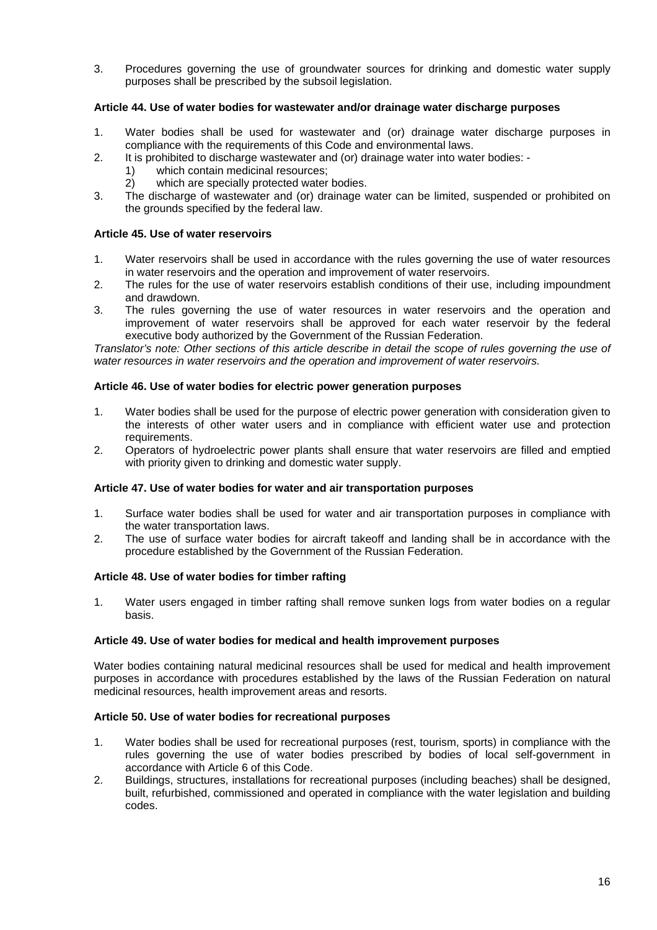3. Procedures governing the use of groundwater sources for drinking and domestic water supply purposes shall be prescribed by the subsoil legislation.

### **Article 44. Use of water bodies for wastewater and/or drainage water discharge purposes**

- 1. Water bodies shall be used for wastewater and (or) drainage water discharge purposes in compliance with the requirements of this Code and environmental laws.
- 2. It is prohibited to discharge wastewater and (or) drainage water into water bodies:
	- 1) which contain medicinal resources;
	- 2) which are specially protected water bodies.
- 3. The discharge of wastewater and (or) drainage water can be limited, suspended or prohibited on the grounds specified by the federal law.

### **Article 45. Use of water reservoirs**

- 1. Water reservoirs shall be used in accordance with the rules governing the use of water resources in water reservoirs and the operation and improvement of water reservoirs.
- 2. The rules for the use of water reservoirs establish conditions of their use, including impoundment and drawdown.
- 3. The rules governing the use of water resources in water reservoirs and the operation and improvement of water reservoirs shall be approved for each water reservoir by the federal executive body authorized by the Government of the Russian Federation.

*Translator's note: Other sections of this article describe in detail the scope of rules governing the use of water resources in water reservoirs and the operation and improvement of water reservoirs.* 

#### **Article 46. Use of water bodies for electric power generation purposes**

- 1. Water bodies shall be used for the purpose of electric power generation with consideration given to the interests of other water users and in compliance with efficient water use and protection requirements.
- 2. Operators of hydroelectric power plants shall ensure that water reservoirs are filled and emptied with priority given to drinking and domestic water supply.

### **Article 47. Use of water bodies for water and air transportation purposes**

- 1. Surface water bodies shall be used for water and air transportation purposes in compliance with the water transportation laws.
- 2. The use of surface water bodies for aircraft takeoff and landing shall be in accordance with the procedure established by the Government of the Russian Federation.

#### **Article 48. Use of water bodies for timber rafting**

1. Water users engaged in timber rafting shall remove sunken logs from water bodies on a regular basis.

#### **Article 49. Use of water bodies for medical and health improvement purposes**

Water bodies containing natural medicinal resources shall be used for medical and health improvement purposes in accordance with procedures established by the laws of the Russian Federation on natural medicinal resources, health improvement areas and resorts.

### **Article 50. Use of water bodies for recreational purposes**

- 1. Water bodies shall be used for recreational purposes (rest, tourism, sports) in compliance with the rules governing the use of water bodies prescribed by bodies of local self-government in accordance with Article 6 of this Code.
- 2. Buildings, structures, installations for recreational purposes (including beaches) shall be designed, built, refurbished, commissioned and operated in compliance with the water legislation and building codes.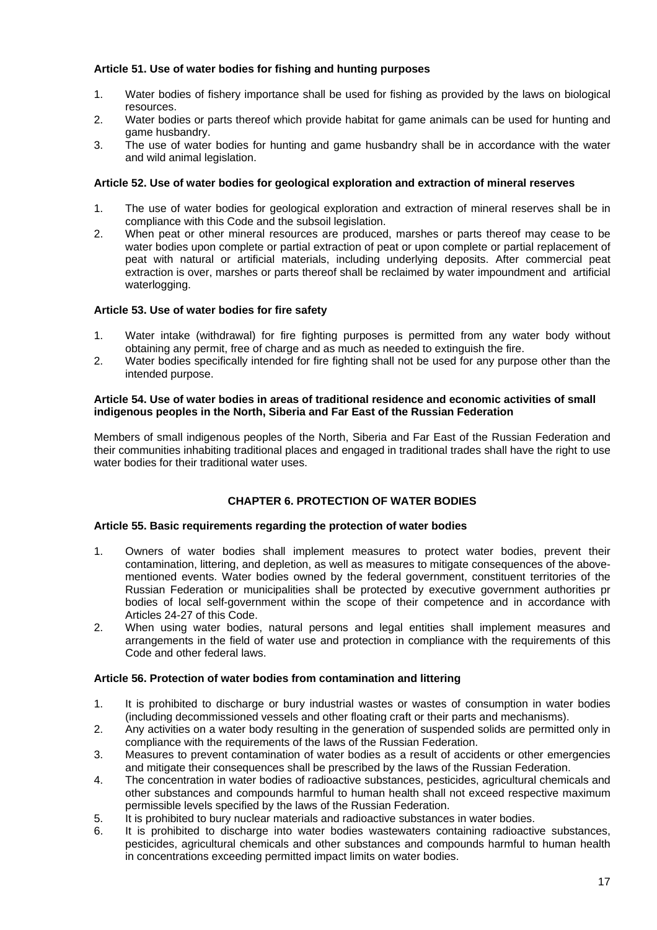### **Article 51. Use of water bodies for fishing and hunting purposes**

- 1. Water bodies of fishery importance shall be used for fishing as provided by the laws on biological resources.
- 2. Water bodies or parts thereof which provide habitat for game animals can be used for hunting and game husbandry.
- 3. The use of water bodies for hunting and game husbandry shall be in accordance with the water and wild animal legislation.

### **Article 52. Use of water bodies for geological exploration and extraction of mineral reserves**

- 1. The use of water bodies for geological exploration and extraction of mineral reserves shall be in compliance with this Code and the subsoil legislation.
- 2. When peat or other mineral resources are produced, marshes or parts thereof may cease to be water bodies upon complete or partial extraction of peat or upon complete or partial replacement of peat with natural or artificial materials, including underlying deposits. After commercial peat extraction is over, marshes or parts thereof shall be reclaimed by water impoundment and artificial waterlogging.

### **Article 53. Use of water bodies for fire safety**

- 1. Water intake (withdrawal) for fire fighting purposes is permitted from any water body without obtaining any permit, free of charge and as much as needed to extinguish the fire.
- 2. Water bodies specifically intended for fire fighting shall not be used for any purpose other than the intended purpose.

#### **Article 54. Use of water bodies in areas of traditional residence and economic activities of small indigenous peoples in the North, Siberia and Far East of the Russian Federation**

Members of small indigenous peoples of the North, Siberia and Far East of the Russian Federation and their communities inhabiting traditional places and engaged in traditional trades shall have the right to use water bodies for their traditional water uses.

# **CHAPTER 6. PROTECTION OF WATER BODIES**

### **Article 55. Basic requirements regarding the protection of water bodies**

- 1. Owners of water bodies shall implement measures to protect water bodies, prevent their contamination, littering, and depletion, as well as measures to mitigate consequences of the abovementioned events. Water bodies owned by the federal government, constituent territories of the Russian Federation or municipalities shall be protected by executive government authorities pr bodies of local self-government within the scope of their competence and in accordance with Articles 24-27 of this Code.
- 2. When using water bodies, natural persons and legal entities shall implement measures and arrangements in the field of water use and protection in compliance with the requirements of this Code and other federal laws.

### **Article 56. Protection of water bodies from contamination and littering**

- 1. It is prohibited to discharge or bury industrial wastes or wastes of consumption in water bodies (including decommissioned vessels and other floating craft or their parts and mechanisms).
- 2. Any activities on a water body resulting in the generation of suspended solids are permitted only in compliance with the requirements of the laws of the Russian Federation.
- 3. Measures to prevent contamination of water bodies as a result of accidents or other emergencies and mitigate their consequences shall be prescribed by the laws of the Russian Federation.
- 4. The concentration in water bodies of radioactive substances, pesticides, agricultural chemicals and other substances and compounds harmful to human health shall not exceed respective maximum permissible levels specified by the laws of the Russian Federation.
- 5. It is prohibited to bury nuclear materials and radioactive substances in water bodies.
- 6. It is prohibited to discharge into water bodies wastewaters containing radioactive substances, pesticides, agricultural chemicals and other substances and compounds harmful to human health in concentrations exceeding permitted impact limits on water bodies.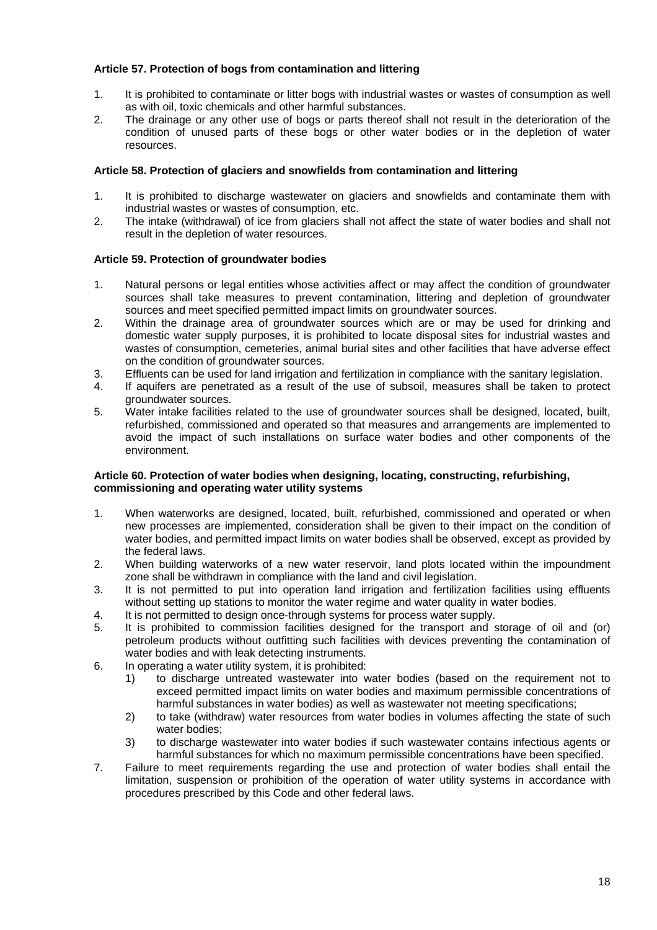### **Article 57. Protection of bogs from contamination and littering**

- 1. It is prohibited to contaminate or litter bogs with industrial wastes or wastes of consumption as well as with oil, toxic chemicals and other harmful substances.
- 2. The drainage or any other use of bogs or parts thereof shall not result in the deterioration of the condition of unused parts of these bogs or other water bodies or in the depletion of water resources.

### **Article 58. Protection of glaciers and snowfields from contamination and littering**

- 1. It is prohibited to discharge wastewater on glaciers and snowfields and contaminate them with industrial wastes or wastes of consumption, etc.
- 2. The intake (withdrawal) of ice from glaciers shall not affect the state of water bodies and shall not result in the depletion of water resources.

### **Article 59. Protection of groundwater bodies**

- 1. Natural persons or legal entities whose activities affect or may affect the condition of groundwater sources shall take measures to prevent contamination, littering and depletion of groundwater sources and meet specified permitted impact limits on groundwater sources.
- 2. Within the drainage area of groundwater sources which are or may be used for drinking and domestic water supply purposes, it is prohibited to locate disposal sites for industrial wastes and wastes of consumption, cemeteries, animal burial sites and other facilities that have adverse effect on the condition of groundwater sources.
- 3. Effluents can be used for land irrigation and fertilization in compliance with the sanitary legislation.
- 4. If aquifers are penetrated as a result of the use of subsoil, measures shall be taken to protect groundwater sources.
- 5. Water intake facilities related to the use of groundwater sources shall be designed, located, built, refurbished, commissioned and operated so that measures and arrangements are implemented to avoid the impact of such installations on surface water bodies and other components of the environment.

#### **Article 60. Protection of water bodies when designing, locating, constructing, refurbishing, commissioning and operating water utility systems**

- 1. When waterworks are designed, located, built, refurbished, commissioned and operated or when new processes are implemented, consideration shall be given to their impact on the condition of water bodies, and permitted impact limits on water bodies shall be observed, except as provided by the federal laws.
- 2. When building waterworks of a new water reservoir, land plots located within the impoundment zone shall be withdrawn in compliance with the land and civil legislation.
- 3. It is not permitted to put into operation land irrigation and fertilization facilities using effluents without setting up stations to monitor the water regime and water quality in water bodies.
- 4. It is not permitted to design once-through systems for process water supply.
- 5. It is prohibited to commission facilities designed for the transport and storage of oil and (or) petroleum products without outfitting such facilities with devices preventing the contamination of water bodies and with leak detecting instruments.
- 6. In operating a water utility system, it is prohibited:
	- 1) to discharge untreated wastewater into water bodies (based on the requirement not to exceed permitted impact limits on water bodies and maximum permissible concentrations of harmful substances in water bodies) as well as wastewater not meeting specifications;
	- 2) to take (withdraw) water resources from water bodies in volumes affecting the state of such water bodies;
	- 3) to discharge wastewater into water bodies if such wastewater contains infectious agents or harmful substances for which no maximum permissible concentrations have been specified.
- 7. Failure to meet requirements regarding the use and protection of water bodies shall entail the limitation, suspension or prohibition of the operation of water utility systems in accordance with procedures prescribed by this Code and other federal laws.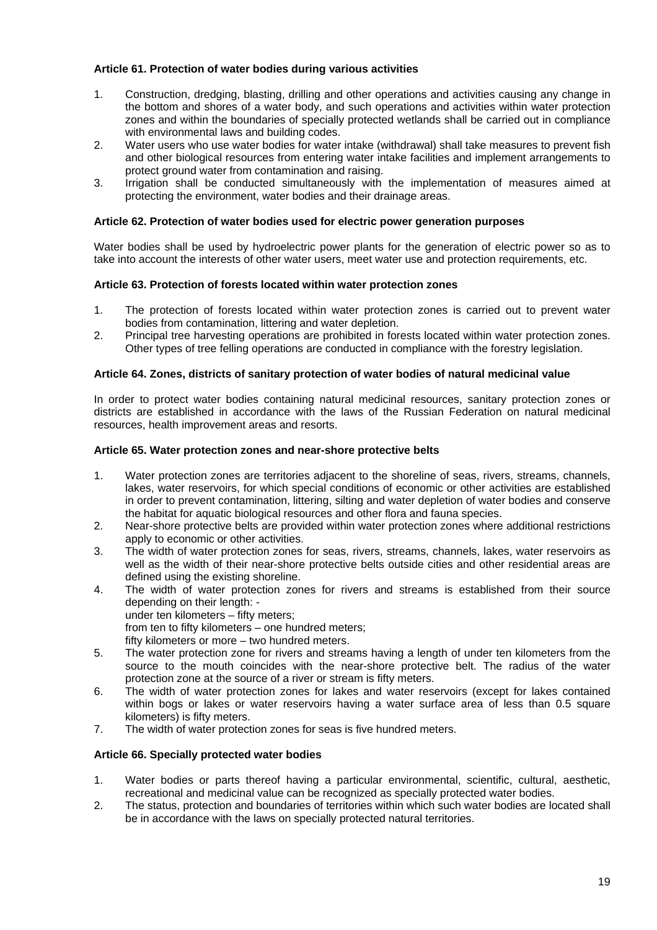### **Article 61. Protection of water bodies during various activities**

- 1. Construction, dredging, blasting, drilling and other operations and activities causing any change in the bottom and shores of a water body, and such operations and activities within water protection zones and within the boundaries of specially protected wetlands shall be carried out in compliance with environmental laws and building codes.
- 2. Water users who use water bodies for water intake (withdrawal) shall take measures to prevent fish and other biological resources from entering water intake facilities and implement arrangements to protect ground water from contamination and raising.
- 3. Irrigation shall be conducted simultaneously with the implementation of measures aimed at protecting the environment, water bodies and their drainage areas.

### **Article 62. Protection of water bodies used for electric power generation purposes**

Water bodies shall be used by hydroelectric power plants for the generation of electric power so as to take into account the interests of other water users, meet water use and protection requirements, etc.

### **Article 63. Protection of forests located within water protection zones**

- 1. The protection of forests located within water protection zones is carried out to prevent water bodies from contamination, littering and water depletion.
- 2. Principal tree harvesting operations are prohibited in forests located within water protection zones. Other types of tree felling operations are conducted in compliance with the forestry legislation.

### **Article 64. Zones, districts of sanitary protection of water bodies of natural medicinal value**

In order to protect water bodies containing natural medicinal resources, sanitary protection zones or districts are established in accordance with the laws of the Russian Federation on natural medicinal resources, health improvement areas and resorts.

#### **Article 65. Water protection zones and near-shore protective belts**

- 1. Water protection zones are territories adjacent to the shoreline of seas, rivers, streams, channels, lakes, water reservoirs, for which special conditions of economic or other activities are established in order to prevent contamination, littering, silting and water depletion of water bodies and conserve the habitat for aquatic biological resources and other flora and fauna species.
- 2. Near-shore protective belts are provided within water protection zones where additional restrictions apply to economic or other activities.
- 3. The width of water protection zones for seas, rivers, streams, channels, lakes, water reservoirs as well as the width of their near-shore protective belts outside cities and other residential areas are defined using the existing shoreline.
- 4. The width of water protection zones for rivers and streams is established from their source depending on their length: under ten kilometers – fifty meters;
	- from ten to fifty kilometers one hundred meters;
	- fifty kilometers or more two hundred meters.
- 5. The water protection zone for rivers and streams having a length of under ten kilometers from the source to the mouth coincides with the near-shore protective belt. The radius of the water protection zone at the source of a river or stream is fifty meters.
- 6. The width of water protection zones for lakes and water reservoirs (except for lakes contained within bogs or lakes or water reservoirs having a water surface area of less than 0.5 square kilometers) is fifty meters.
- 7. The width of water protection zones for seas is five hundred meters.

### **Article 66. Specially protected water bodies**

- 1. Water bodies or parts thereof having a particular environmental, scientific, cultural, aesthetic, recreational and medicinal value can be recognized as specially protected water bodies.
- 2. The status, protection and boundaries of territories within which such water bodies are located shall be in accordance with the laws on specially protected natural territories.